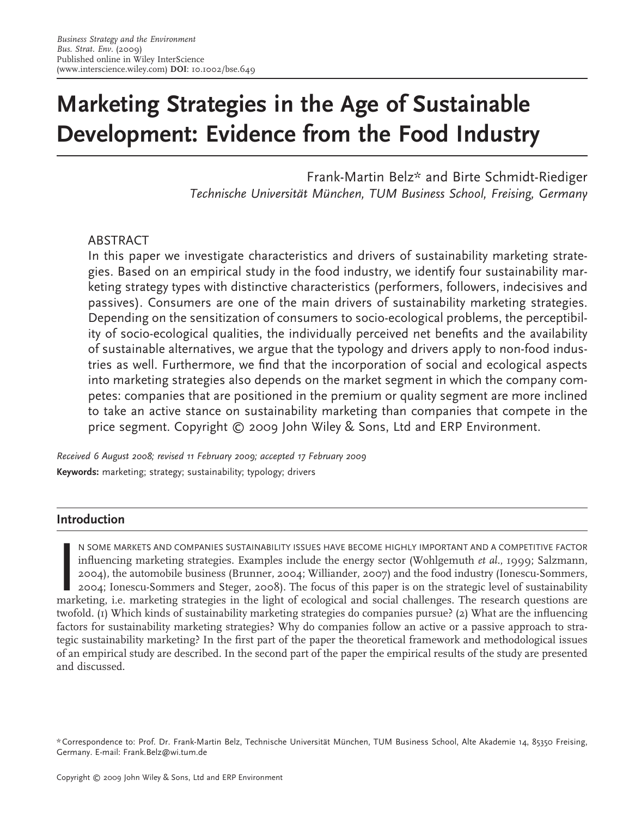Frank-Martin Belz\* and Birte Schmidt-Riediger *Technische Universität München, TUM Business School, Freising, Germany*

# **ABSTRACT**

In this paper we investigate characteristics and drivers of sustainability marketing strategies. Based on an empirical study in the food industry, we identify four sustainability marketing strategy types with distinctive characteristics (performers, followers, indecisives and passives). Consumers are one of the main drivers of sustainability marketing strategies. Depending on the sensitization of consumers to socio-ecological problems, the perceptibility of socio-ecological qualities, the individually perceived net benefits and the availability of sustainable alternatives, we argue that the typology and drivers apply to non-food industries as well. Furthermore, we find that the incorporation of social and ecological aspects into marketing strategies also depends on the market segment in which the company competes: companies that are positioned in the premium or quality segment are more inclined to take an active stance on sustainability marketing than companies that compete in the price segment. Copyright © 2009 John Wiley & Sons, Ltd and ERP Environment.

*Received 6 August 2008; revised 11 February 2009; accepted 17 February 2009* **Keywords:** marketing; strategy; sustainability; typology; drivers

#### **Introduction**

N SOME MARKETS AND COMPANIES SUSTAINABILITY ISSUES HAVE BECOME HIGHLY IMPORTANT AND A COMPETITIVE FACTOR<br>influencing marketing strategies. Examples include the energy sector (Wohlgemuth *et al.*, 1999; Salzmann,<br>2004; the N SOME MARKETS AND COMPANIES SUSTAINABILITY ISSUES HAVE BECOME HIGHLY IMPORTANT AND A COMPETITIVE FACTOR influencing marketing strategies. Examples include the energy sector (Wohlgemuth *et al.*, 1999; Salzmann, 2004), the automobile business (Brunner, 2004; Williander, 2007) and the food industry (Ionescu-Sommers, 2004; Ionescu-Sommers and Steger, 2008). The focus of this paper is on the strategic level of sustainability twofold. (1) Which kinds of sustainability marketing strategies do companies pursue? (2) What are the influencing factors for sustainability marketing strategies? Why do companies follow an active or a passive approach to strategic sustainability marketing? In the first part of the paper the theoretical framework and methodological issues of an empirical study are described. In the second part of the paper the empirical results of the study are presented and discussed.

<sup>\*</sup> Correspondence to: Prof. Dr. Frank-Martin Belz, Technische Universität München, TUM Business School, Alte Akademie 14, 85350 Freising, Germany. E-mail: Frank.Belz@wi.tum.de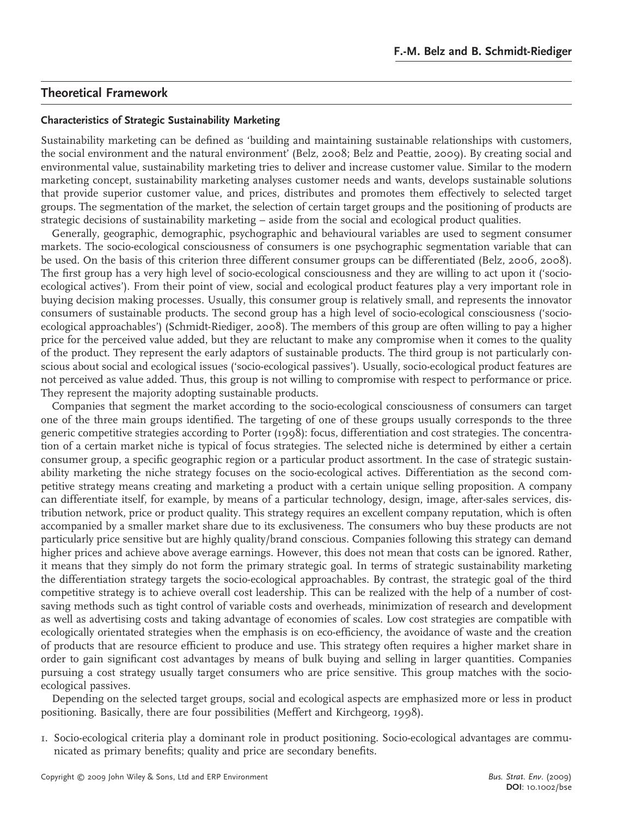# **Theoretical Framework**

#### **Characteristics of Strategic Sustainability Marketing**

Sustainability marketing can be defined as 'building and maintaining sustainable relationships with customers, the social environment and the natural environment' (Belz, 2008; Belz and Peattie, 2009). By creating social and environmental value, sustainability marketing tries to deliver and increase customer value. Similar to the modern marketing concept, sustainability marketing analyses customer needs and wants, develops sustainable solutions that provide superior customer value, and prices, distributes and promotes them effectively to selected target groups. The segmentation of the market, the selection of certain target groups and the positioning of products are strategic decisions of sustainability marketing – aside from the social and ecological product qualities.

Generally, geographic, demographic, psychographic and behavioural variables are used to segment consumer markets. The socio-ecological consciousness of consumers is one psychographic segmentation variable that can be used. On the basis of this criterion three different consumer groups can be differentiated (Belz, 2006, 2008). The first group has a very high level of socio-ecological consciousness and they are willing to act upon it ('socioecological actives'). From their point of view, social and ecological product features play a very important role in buying decision making processes. Usually, this consumer group is relatively small, and represents the innovator consumers of sustainable products. The second group has a high level of socio-ecological consciousness ('socioecological approachables') (Schmidt-Riediger, 2008). The members of this group are often willing to pay a higher price for the perceived value added, but they are reluctant to make any compromise when it comes to the quality of the product. They represent the early adaptors of sustainable products. The third group is not particularly conscious about social and ecological issues ('socio-ecological passives'). Usually, socio-ecological product features are not perceived as value added. Thus, this group is not willing to compromise with respect to performance or price. They represent the majority adopting sustainable products.

Companies that segment the market according to the socio-ecological consciousness of consumers can target one of the three main groups identified. The targeting of one of these groups usually corresponds to the three generic competitive strategies according to Porter (1998): focus, differentiation and cost strategies. The concentration of a certain market niche is typical of focus strategies. The selected niche is determined by either a certain consumer group, a specific geographic region or a particular product assortment. In the case of strategic sustainability marketing the niche strategy focuses on the socio-ecological actives. Differentiation as the second competitive strategy means creating and marketing a product with a certain unique selling proposition. A company can differentiate itself, for example, by means of a particular technology, design, image, after-sales services, distribution network, price or product quality. This strategy requires an excellent company reputation, which is often accompanied by a smaller market share due to its exclusiveness. The consumers who buy these products are not particularly price sensitive but are highly quality/brand conscious. Companies following this strategy can demand higher prices and achieve above average earnings. However, this does not mean that costs can be ignored. Rather, it means that they simply do not form the primary strategic goal. In terms of strategic sustainability marketing the differentiation strategy targets the socio-ecological approachables. By contrast, the strategic goal of the third competitive strategy is to achieve overall cost leadership. This can be realized with the help of a number of costsaving methods such as tight control of variable costs and overheads, minimization of research and development as well as advertising costs and taking advantage of economies of scales. Low cost strategies are compatible with ecologically orientated strategies when the emphasis is on eco-efficiency, the avoidance of waste and the creation of products that are resource efficient to produce and use. This strategy often requires a higher market share in order to gain significant cost advantages by means of bulk buying and selling in larger quantities. Companies pursuing a cost strategy usually target consumers who are price sensitive. This group matches with the socioecological passives.

Depending on the selected target groups, social and ecological aspects are emphasized more or less in product positioning. Basically, there are four possibilities (Meffert and Kirchgeorg, 1998).

1. Socio-ecological criteria play a dominant role in product positioning. Socio-ecological advantages are communicated as primary benefits; quality and price are secondary benefits.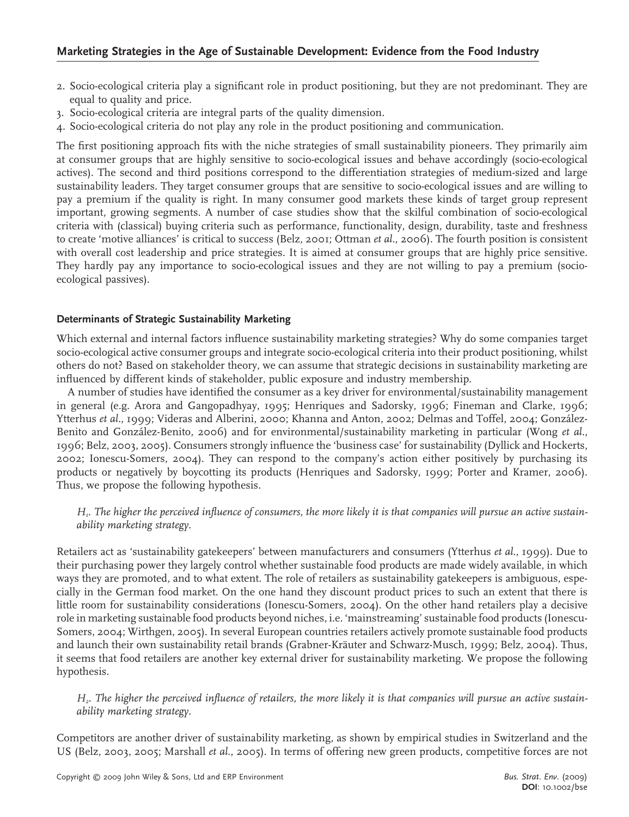- 2. Socio-ecological criteria play a significant role in product positioning, but they are not predominant. They are equal to quality and price.
- 3. Socio-ecological criteria are integral parts of the quality dimension.
- 4. Socio-ecological criteria do not play any role in the product positioning and communication.

The first positioning approach fits with the niche strategies of small sustainability pioneers. They primarily aim at consumer groups that are highly sensitive to socio-ecological issues and behave accordingly (socio-ecological actives). The second and third positions correspond to the differentiation strategies of medium-sized and large sustainability leaders. They target consumer groups that are sensitive to socio-ecological issues and are willing to pay a premium if the quality is right. In many consumer good markets these kinds of target group represent important, growing segments. A number of case studies show that the skilful combination of socio-ecological criteria with (classical) buying criteria such as performance, functionality, design, durability, taste and freshness to create 'motive alliances' is critical to success (Belz, 2001; Ottman *et al.*, 2006). The fourth position is consistent with overall cost leadership and price strategies. It is aimed at consumer groups that are highly price sensitive. They hardly pay any importance to socio-ecological issues and they are not willing to pay a premium (socioecological passives).

#### **Determinants of Strategic Sustainability Marketing**

Which external and internal factors influence sustainability marketing strategies? Why do some companies target socio-ecological active consumer groups and integrate socio-ecological criteria into their product positioning, whilst others do not? Based on stakeholder theory, we can assume that strategic decisions in sustainability marketing are influenced by different kinds of stakeholder, public exposure and industry membership.

A number of studies have identified the consumer as a key driver for environmental/sustainability management in general (e.g. Arora and Gangopadhyay, 1995; Henriques and Sadorsky, 1996; Fineman and Clarke, 1996; Ytterhus *et al.*, 1999; Videras and Alberini, 2000; Khanna and Anton, 2002; Delmas and Toffel, 2004; González-Benito and González-Benito, 2006) and for environmental/sustainability marketing in particular (Wong *et al.*, 1996; Belz, 2003, 2005). Consumers strongly influence the 'business case' for sustainability (Dyllick and Hockerts, 2002; Ionescu-Somers, 2004). They can respond to the company's action either positively by purchasing its products or negatively by boycotting its products (Henriques and Sadorsky, 1999; Porter and Kramer, 2006). Thus, we propose the following hypothesis.

# *H1. The higher the perceived influence of consumers, the more likely it is that companies will pursue an active sustainability marketing strategy.*

Retailers act as 'sustainability gatekeepers' between manufacturers and consumers (Ytterhus *et al.*, 1999). Due to their purchasing power they largely control whether sustainable food products are made widely available, in which ways they are promoted, and to what extent. The role of retailers as sustainability gatekeepers is ambiguous, especially in the German food market. On the one hand they discount product prices to such an extent that there is little room for sustainability considerations (Ionescu-Somers, 2004). On the other hand retailers play a decisive role in marketing sustainable food products beyond niches, i.e. 'mainstreaming' sustainable food products (Ionescu-Somers, 2004; Wirthgen, 2005). In several European countries retailers actively promote sustainable food products and launch their own sustainability retail brands (Grabner-Kräuter and Schwarz-Musch, 1999; Belz, 2004). Thus, it seems that food retailers are another key external driver for sustainability marketing. We propose the following hypothesis.

#### *H2. The higher the perceived influence of retailers, the more likely it is that companies will pursue an active sustainability marketing strategy.*

Competitors are another driver of sustainability marketing, as shown by empirical studies in Switzerland and the US (Belz, 2003, 2005; Marshall *et al.*, 2005). In terms of offering new green products, competitive forces are not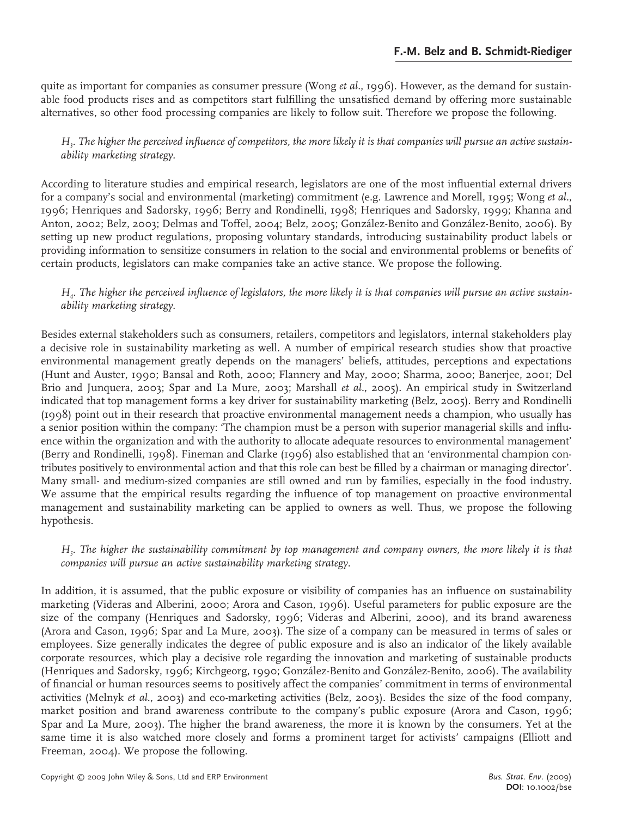quite as important for companies as consumer pressure (Wong *et al.*, 1996). However, as the demand for sustainable food products rises and as competitors start fulfilling the unsatisfied demand by offering more sustainable alternatives, so other food processing companies are likely to follow suit. Therefore we propose the following.

*H3. The higher the perceived influence of competitors, the more likely it is that companies will pursue an active sustainability marketing strategy.*

According to literature studies and empirical research, legislators are one of the most influential external drivers for a company's social and environmental (marketing) commitment (e.g. Lawrence and Morell, 1995; Wong *et al.*, 1996; Henriques and Sadorsky, 1996; Berry and Rondinelli, 1998; Henriques and Sadorsky, 1999; Khanna and Anton, 2002; Belz, 2003; Delmas and Toffel, 2004; Belz, 2005; González-Benito and González-Benito, 2006). By setting up new product regulations, proposing voluntary standards, introducing sustainability product labels or providing information to sensitize consumers in relation to the social and environmental problems or benefits of certain products, legislators can make companies take an active stance. We propose the following.

# *H4. The higher the perceived influence of legislators, the more likely it is that companies will pursue an active sustainability marketing strategy.*

Besides external stakeholders such as consumers, retailers, competitors and legislators, internal stakeholders play a decisive role in sustainability marketing as well. A number of empirical research studies show that proactive environmental management greatly depends on the managers' beliefs, attitudes, perceptions and expectations (Hunt and Auster, 1990; Bansal and Roth, 2000; Flannery and May, 2000; Sharma, 2000; Banerjee, 2001; Del Brio and Junquera, 2003; Spar and La Mure, 2003; Marshall *et al.*, 2005). An empirical study in Switzerland indicated that top management forms a key driver for sustainability marketing (Belz, 2005). Berry and Rondinelli (1998) point out in their research that proactive environmental management needs a champion, who usually has a senior position within the company: 'The champion must be a person with superior managerial skills and influence within the organization and with the authority to allocate adequate resources to environmental management' (Berry and Rondinelli, 1998). Fineman and Clarke (1996) also established that an 'environmental champion contributes positively to environmental action and that this role can best be filled by a chairman or managing director'. Many small- and medium-sized companies are still owned and run by families, especially in the food industry. We assume that the empirical results regarding the influence of top management on proactive environmental management and sustainability marketing can be applied to owners as well. Thus, we propose the following hypothesis.

# *H5. The higher the sustainability commitment by top management and company owners, the more likely it is that companies will pursue an active sustainability marketing strategy.*

In addition, it is assumed, that the public exposure or visibility of companies has an influence on sustainability marketing (Videras and Alberini, 2000; Arora and Cason, 1996). Useful parameters for public exposure are the size of the company (Henriques and Sadorsky, 1996; Videras and Alberini, 2000), and its brand awareness (Arora and Cason, 1996; Spar and La Mure, 2003). The size of a company can be measured in terms of sales or employees. Size generally indicates the degree of public exposure and is also an indicator of the likely available corporate resources, which play a decisive role regarding the innovation and marketing of sustainable products (Henriques and Sadorsky, 1996; Kirchgeorg, 1990; González-Benito and González-Benito, 2006). The availability of financial or human resources seems to positively affect the companies' commitment in terms of environmental activities (Melnyk *et al.*, 2003) and eco-marketing activities (Belz, 2003). Besides the size of the food company, market position and brand awareness contribute to the company's public exposure (Arora and Cason, 1996; Spar and La Mure, 2003). The higher the brand awareness, the more it is known by the consumers. Yet at the same time it is also watched more closely and forms a prominent target for activists' campaigns (Elliott and Freeman, 2004). We propose the following.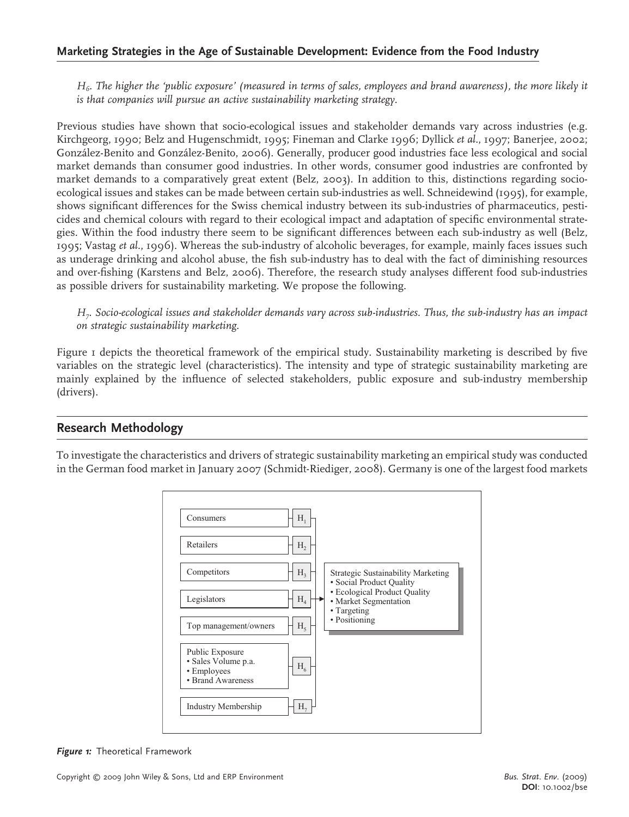*H6. The higher the 'public exposure' (measured in terms of sales, employees and brand awareness), the more likely it is that companies will pursue an active sustainability marketing strategy.*

Previous studies have shown that socio-ecological issues and stakeholder demands vary across industries (e.g. Kirchgeorg, 1990; Belz and Hugenschmidt, 1995; Fineman and Clarke 1996; Dyllick *et al.*, 1997; Banerjee, 2002; González-Benito and González-Benito, 2006). Generally, producer good industries face less ecological and social market demands than consumer good industries. In other words, consumer good industries are confronted by market demands to a comparatively great extent (Belz, 2003). In addition to this, distinctions regarding socioecological issues and stakes can be made between certain sub-industries as well. Schneidewind (1995), for example, shows significant differences for the Swiss chemical industry between its sub-industries of pharmaceutics, pesticides and chemical colours with regard to their ecological impact and adaptation of specific environmental strategies. Within the food industry there seem to be significant differences between each sub-industry as well (Belz, 1995; Vastag *et al.*, 1996). Whereas the sub-industry of alcoholic beverages, for example, mainly faces issues such as underage drinking and alcohol abuse, the fish sub-industry has to deal with the fact of diminishing resources and over-fishing (Karstens and Belz, 2006). Therefore, the research study analyses different food sub-industries as possible drivers for sustainability marketing. We propose the following.

*H7. Socio-ecological issues and stakeholder demands vary across sub-industries. Thus, the sub-industry has an impact on strategic sustainability marketing.*

Figure 1 depicts the theoretical framework of the empirical study. Sustainability marketing is described by five variables on the strategic level (characteristics). The intensity and type of strategic sustainability marketing are mainly explained by the influence of selected stakeholders, public exposure and sub-industry membership (drivers).

# **Research Methodology**

To investigate the characteristics and drivers of strategic sustainability marketing an empirical study was conducted in the German food market in January 2007 (Schmidt-Riediger, 2008). Germany is one of the largest food markets



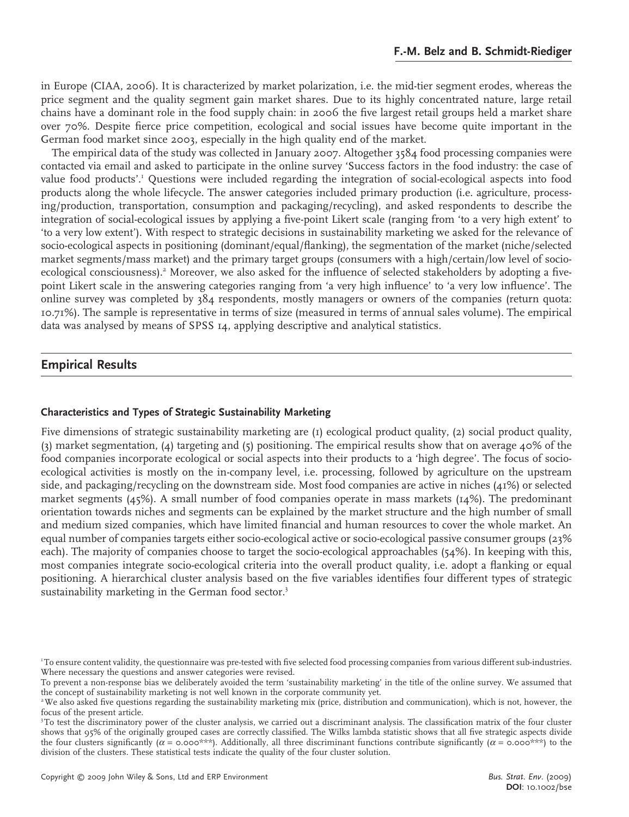in Europe (CIAA, 2006). It is characterized by market polarization, i.e. the mid-tier segment erodes, whereas the price segment and the quality segment gain market shares. Due to its highly concentrated nature, large retail chains have a dominant role in the food supply chain: in 2006 the five largest retail groups held a market share over 70%. Despite fierce price competition, ecological and social issues have become quite important in the German food market since 2003, especially in the high quality end of the market.

The empirical data of the study was collected in January 2007. Altogether 3584 food processing companies were contacted via email and asked to participate in the online survey 'Success factors in the food industry: the case of value food products'.1 Questions were included regarding the integration of social-ecological aspects into food products along the whole lifecycle. The answer categories included primary production (i.e. agriculture, processing/production, transportation, consumption and packaging/recycling), and asked respondents to describe the integration of social-ecological issues by applying a five-point Likert scale (ranging from 'to a very high extent' to 'to a very low extent'). With respect to strategic decisions in sustainability marketing we asked for the relevance of socio-ecological aspects in positioning (dominant/equal/flanking), the segmentation of the market (niche/selected market segments/mass market) and the primary target groups (consumers with a high/certain/low level of socioecological consciousness).<sup>2</sup> Moreover, we also asked for the influence of selected stakeholders by adopting a fivepoint Likert scale in the answering categories ranging from 'a very high influence' to 'a very low influence'. The online survey was completed by 384 respondents, mostly managers or owners of the companies (return quota: 10.71%). The sample is representative in terms of size (measured in terms of annual sales volume). The empirical data was analysed by means of SPSS 14, applying descriptive and analytical statistics.

# **Empirical Results**

#### **Characteristics and Types of Strategic Sustainability Marketing**

Five dimensions of strategic sustainability marketing are (1) ecological product quality, (2) social product quality, (3) market segmentation, (4) targeting and (5) positioning. The empirical results show that on average 40% of the food companies incorporate ecological or social aspects into their products to a 'high degree'. The focus of socioecological activities is mostly on the in-company level, i.e. processing, followed by agriculture on the upstream side, and packaging/recycling on the downstream side. Most food companies are active in niches (41%) or selected market segments (45%). A small number of food companies operate in mass markets (14%). The predominant orientation towards niches and segments can be explained by the market structure and the high number of small and medium sized companies, which have limited financial and human resources to cover the whole market. An equal number of companies targets either socio-ecological active or socio-ecological passive consumer groups (23% each). The majority of companies choose to target the socio-ecological approachables (54%). In keeping with this, most companies integrate socio-ecological criteria into the overall product quality, i.e. adopt a flanking or equal positioning. A hierarchical cluster analysis based on the five variables identifies four different types of strategic sustainability marketing in the German food sector.<sup>3</sup>

<sup>1</sup> To ensure content validity, the questionnaire was pre-tested with five selected food processing companies from various different sub-industries. Where necessary the questions and answer categories were revised.

To prevent a non-response bias we deliberately avoided the term 'sustainability marketing' in the title of the online survey. We assumed that the concept of sustainability marketing is not well known in the corporate community yet.

<sup>&</sup>lt;sup>2</sup>We also asked five questions regarding the sustainability marketing mix (price, distribution and communication), which is not, however, the focus of the present article.

<sup>3</sup> To test the discriminatory power of the cluster analysis, we carried out a discriminant analysis. The classification matrix of the four cluster shows that 95% of the originally grouped cases are correctly classified. The Wilks lambda statistic shows that all five strategic aspects divide the four clusters significantly ( $\alpha$  = 0.000<sup>\*\*\*</sup>). Additionally, all three discriminant functions contribute significantly ( $\alpha$  = 0.000<sup>\*\*\*</sup>)</sup> to the division of the clusters. These statistical tests indicate the quality of the four cluster solution.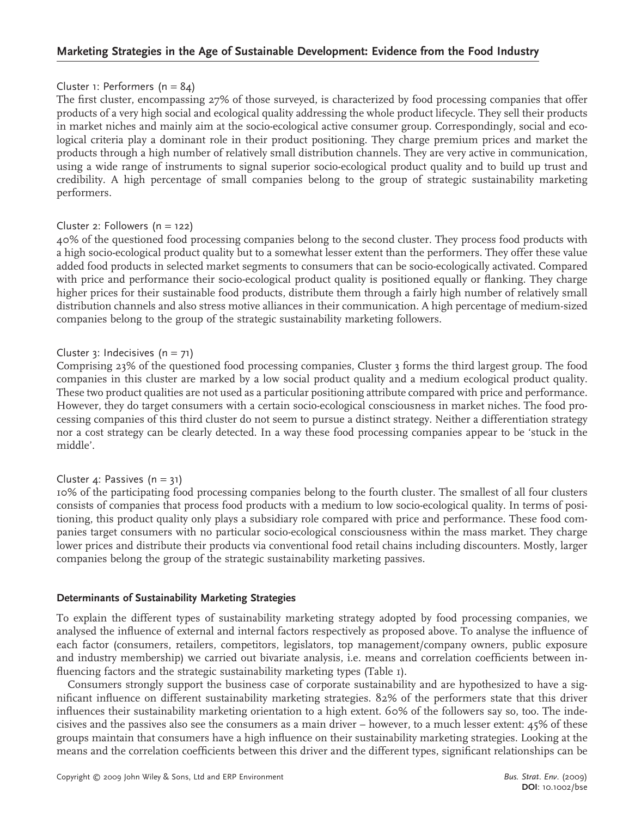#### Cluster 1: Performers  $(n = 8\Delta)$

The first cluster, encompassing 27% of those surveyed, is characterized by food processing companies that offer products of a very high social and ecological quality addressing the whole product lifecycle. They sell their products in market niches and mainly aim at the socio-ecological active consumer group. Correspondingly, social and ecological criteria play a dominant role in their product positioning. They charge premium prices and market the products through a high number of relatively small distribution channels. They are very active in communication, using a wide range of instruments to signal superior socio-ecological product quality and to build up trust and credibility. A high percentage of small companies belong to the group of strategic sustainability marketing performers.

#### Cluster 2: Followers  $(n = 122)$

40% of the questioned food processing companies belong to the second cluster. They process food products with a high socio-ecological product quality but to a somewhat lesser extent than the performers. They offer these value added food products in selected market segments to consumers that can be socio-ecologically activated. Compared with price and performance their socio-ecological product quality is positioned equally or flanking. They charge higher prices for their sustainable food products, distribute them through a fairly high number of relatively small distribution channels and also stress motive alliances in their communication. A high percentage of medium-sized companies belong to the group of the strategic sustainability marketing followers.

#### Cluster 3: Indecisives  $(n = 71)$

Comprising 23% of the questioned food processing companies, Cluster 3 forms the third largest group. The food companies in this cluster are marked by a low social product quality and a medium ecological product quality. These two product qualities are not used as a particular positioning attribute compared with price and performance. However, they do target consumers with a certain socio-ecological consciousness in market niches. The food processing companies of this third cluster do not seem to pursue a distinct strategy. Neither a differentiation strategy nor a cost strategy can be clearly detected. In a way these food processing companies appear to be 'stuck in the middle'.

#### Cluster 4: Passives  $(n = 31)$

10% of the participating food processing companies belong to the fourth cluster. The smallest of all four clusters consists of companies that process food products with a medium to low socio-ecological quality. In terms of positioning, this product quality only plays a subsidiary role compared with price and performance. These food companies target consumers with no particular socio-ecological consciousness within the mass market. They charge lower prices and distribute their products via conventional food retail chains including discounters. Mostly, larger companies belong the group of the strategic sustainability marketing passives.

# **Determinants of Sustainability Marketing Strategies**

To explain the different types of sustainability marketing strategy adopted by food processing companies, we analysed the influence of external and internal factors respectively as proposed above. To analyse the influence of each factor (consumers, retailers, competitors, legislators, top management/company owners, public exposure and industry membership) we carried out bivariate analysis, i.e. means and correlation coefficients between influencing factors and the strategic sustainability marketing types (Table 1).

Consumers strongly support the business case of corporate sustainability and are hypothesized to have a significant influence on different sustainability marketing strategies. 82% of the performers state that this driver influences their sustainability marketing orientation to a high extent. 60% of the followers say so, too. The indecisives and the passives also see the consumers as a main driver – however, to a much lesser extent: 45% of these groups maintain that consumers have a high influence on their sustainability marketing strategies. Looking at the means and the correlation coefficients between this driver and the different types, significant relationships can be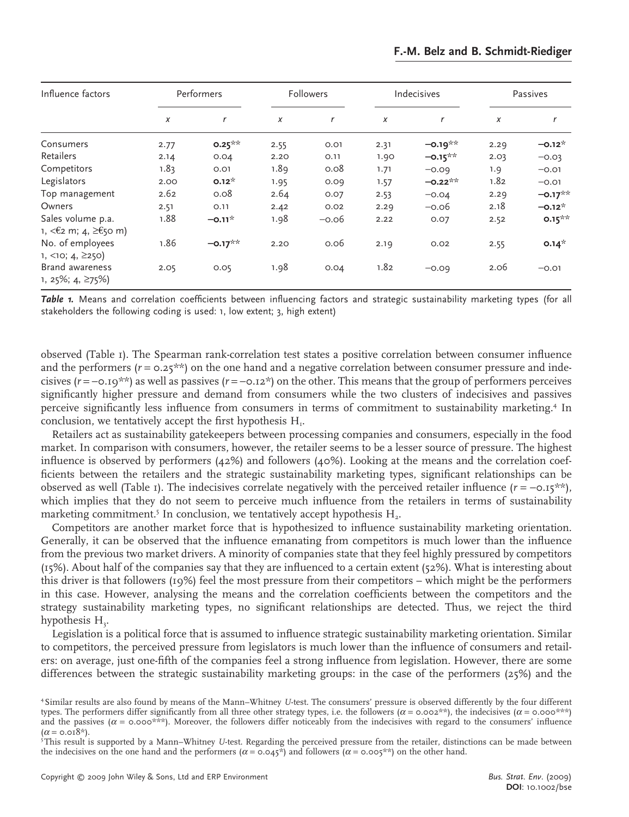| Influence factors                                | Performers |           | Followers        |         | Indecisives |              | Passives |           |
|--------------------------------------------------|------------|-----------|------------------|---------|-------------|--------------|----------|-----------|
|                                                  | X          | r         | $\boldsymbol{x}$ | r       | X           | $\mathbf{r}$ | X        | r         |
| Consumers                                        | 2.77       | $0.25***$ | 2.55             | 0.01    | 2.31        | $-0.19**$    | 2.29     | $-0.12*$  |
| Retailers                                        | 2.14       | 0.04      | 2.20             | 0.11    | 1.90        | $-0.15**$    | 2.03     | $-0.03$   |
| Competitors                                      | 1.83       | 0.01      | 1.89             | 0.08    | 1.71        | $-0.09$      | 1.9      | $-0.01$   |
| Legislators                                      | 2.00       | $0.12*$   | 1.95             | 0.09    | 1.57        | $-0.22**$    | 1.82     | $-0.01$   |
| Top management                                   | 2.62       | 0.08      | 2.64             | 0.07    | 2.53        | $-0.04$      | 2.29     | $-0.17**$ |
| Owners                                           | 2.51       | 0.11      | 2.42             | 0.02    | 2.29        | $-0.06$      | 2.18     | $-0.12*$  |
| Sales volume p.a.                                | 1.88       | $-0.11*$  | 1.98             | $-0.06$ | 2.22        | 0.07         | 2.52     | $0.15***$ |
| 1, <€2 m; 4, ≥€50 m)                             |            |           |                  |         |             |              |          |           |
| No. of employees                                 | 1.86       | $-0.17**$ | 2.20             | 0.06    | 2.19        | 0.02         | 2.55     | $0.14*$   |
| 1, 10; 4, 2250                                   |            |           |                  |         |             |              |          |           |
| <b>Brand awareness</b><br>1, 25%; $4, \geq 75\%$ | 2.05       | 0.05      | 1.98             | 0.04    | 1.82        | $-0.09$      | 2.06     | $-0.01$   |

Table 1. Means and correlation coefficients between influencing factors and strategic sustainability marketing types (for all stakeholders the following coding is used: 1, low extent; 3, high extent)

observed (Table 1). The Spearman rank-correlation test states a positive correlation between consumer influence and the performers ( $r = 0.25$ <sup>\*\*</sup>) on the one hand and a negative correlation between consumer pressure and indecisives ( $r = -0.19**$ ) as well as passives ( $r = -0.12*$ ) on the other. This means that the group of performers perceives significantly higher pressure and demand from consumers while the two clusters of indecisives and passives perceive significantly less influence from consumers in terms of commitment to sustainability marketing.4 In conclusion, we tentatively accept the first hypothesis  $H<sub>r</sub>$ .

Retailers act as sustainability gatekeepers between processing companies and consumers, especially in the food market. In comparison with consumers, however, the retailer seems to be a lesser source of pressure. The highest influence is observed by performers (42%) and followers (40%). Looking at the means and the correlation coefficients between the retailers and the strategic sustainability marketing types, significant relationships can be observed as well (Table 1). The indecisives correlate negatively with the perceived retailer influence (*r* = −0.15\*\*), which implies that they do not seem to perceive much influence from the retailers in terms of sustainability marketing commitment.<sup>5</sup> In conclusion, we tentatively accept hypothesis  $H_2$ .

Competitors are another market force that is hypothesized to influence sustainability marketing orientation. Generally, it can be observed that the influence emanating from competitors is much lower than the influence from the previous two market drivers. A minority of companies state that they feel highly pressured by competitors (15%). About half of the companies say that they are influenced to a certain extent (52%). What is interesting about this driver is that followers (19%) feel the most pressure from their competitors – which might be the performers in this case. However, analysing the means and the correlation coefficients between the competitors and the strategy sustainability marketing types, no significant relationships are detected. Thus, we reject the third hypothesis  $H<sub>3</sub>$ .

Legislation is a political force that is assumed to influence strategic sustainability marketing orientation. Similar to competitors, the perceived pressure from legislators is much lower than the influence of consumers and retailers: on average, just one-fifth of the companies feel a strong influence from legislation. However, there are some differences between the strategic sustainability marketing groups: in the case of the performers (25%) and the

5 This result is supported by a Mann–Whitney *U*-test. Regarding the perceived pressure from the retailer, distinctions can be made between the indecisives on the one hand and the performers  $(\alpha = 0.045^*)$  and followers  $(\alpha = 0.005^{**})$  on the other hand.

<sup>4</sup>Similar results are also found by means of the Mann–Whitney *U*-test. The consumers' pressure is observed differently by the four different types. The performers differ significantly from all three other strategy types, i.e. the followers ( $\alpha$  = 0.002\*\*), the indecisives ( $\alpha$  = 0.000\*\*\*) and the passives ( $\alpha$  = 0.000<sup>\*\*\*</sup>). Moreover, the followers differ noticeably from the indecisives with regard to the consumers' influence  $(\alpha = 0.018^*)$ .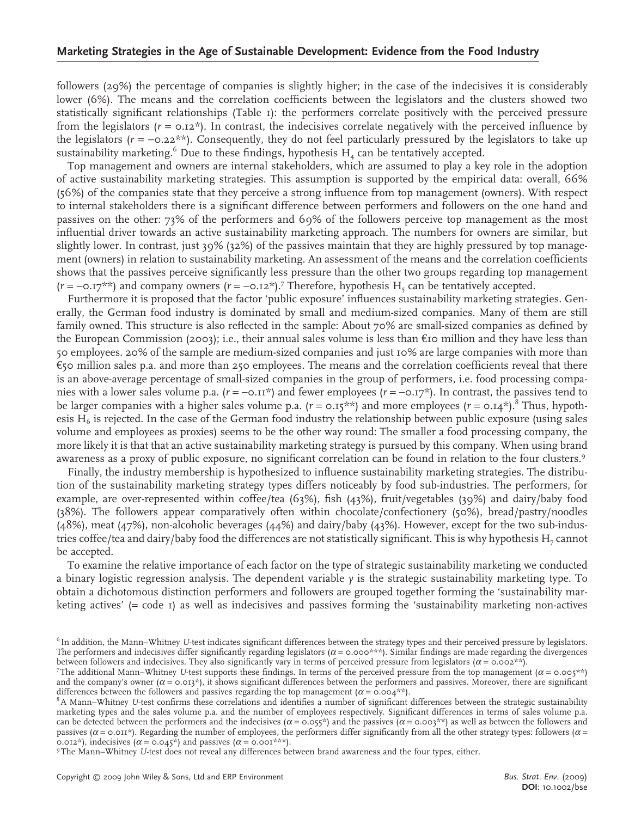followers (29%) the percentage of companies is slightly higher; in the case of the indecisives it is considerably lower (6%). The means and the correlation coefficients between the legislators and the clusters showed two statistically significant relationships (Table 1): the performers correlate positively with the perceived pressure from the legislators  $(r = 0.12*)$ . In contrast, the indecisives correlate negatively with the perceived influence by the legislators ( $r = -0.22^{**}$ ). Consequently, they do not feel particularly pressured by the legislators to take up sustainability marketing.<sup>6</sup> Due to these findings, hypothesis  $H_4$  can be tentatively accepted.

Top management and owners are internal stakeholders, which are assumed to play a key role in the adoption of active sustainability marketing strategies. This assumption is supported by the empirical data: overall, 66% (56%) of the companies state that they perceive a strong influence from top management (owners). With respect to internal stakeholders there is a significant difference between performers and followers on the one hand and passives on the other: 73% of the performers and 69% of the followers perceive top management as the most influential driver towards an active sustainability marketing approach. The numbers for owners are similar, but slightly lower. In contrast, just 39% (32%) of the passives maintain that they are highly pressured by top management (owners) in relation to sustainability marketing. An assessment of the means and the correlation coefficients shows that the passives perceive significantly less pressure than the other two groups regarding top management  $(r = -0.17**)$  and company owners  $(r = -0.12*)$ .<sup>7</sup> Therefore, hypothesis H<sub>5</sub> can be tentatively accepted.

Furthermore it is proposed that the factor 'public exposure' influences sustainability marketing strategies. Generally, the German food industry is dominated by small and medium-sized companies. Many of them are still family owned. This structure is also reflected in the sample: About 70% are small-sized companies as defined by the European Commission (2003); i.e., their annual sales volume is less than  $\epsilon$ 10 million and they have less than 50 employees. 20% of the sample are medium-sized companies and just 10% are large companies with more than  $\epsilon$ <sub>50</sub> million sales p.a. and more than 250 employees. The means and the correlation coefficients reveal that there is an above-average percentage of small-sized companies in the group of performers, i.e. food processing companies with a lower sales volume p.a. (*r* = −0.11\*) and fewer employees (*r* = −0.17\*). In contrast, the passives tend to be larger companies with a higher sales volume p.a.  $(r = 0.15^{**})$  and more employees  $(r = 0.14^*)$ .<sup>8</sup> Thus, hypothesis  $H_6$  is rejected. In the case of the German food industry the relationship between public exposure (using sales volume and employees as proxies) seems to be the other way round: The smaller a food processing company, the more likely it is that that an active sustainability marketing strategy is pursued by this company. When using brand awareness as a proxy of public exposure, no significant correlation can be found in relation to the four clusters.9

Finally, the industry membership is hypothesized to influence sustainability marketing strategies. The distribution of the sustainability marketing strategy types differs noticeably by food sub-industries. The performers, for example, are over-represented within coffee/tea (63%), fish (43%), fruit/vegetables (39%) and dairy/baby food (38%). The followers appear comparatively often within chocolate/confectionery (50%), bread/pastry/noodles (48%), meat (47%), non-alcoholic beverages (44%) and dairy/baby (43%). However, except for the two sub-industries coffee/tea and dairy/baby food the differences are not statistically significant. This is why hypothesis  $H_7$  cannot be accepted.

To examine the relative importance of each factor on the type of strategic sustainability marketing we conducted a binary logistic regression analysis. The dependent variable *y* is the strategic sustainability marketing type. To obtain a dichotomous distinction performers and followers are grouped together forming the 'sustainability marketing actives' (= code 1) as well as indecisives and passives forming the 'sustainability marketing non-actives

<sup>6</sup> In addition, the Mann–Whitney *U*-test indicates significant differences between the strategy types and their perceived pressure by legislators. The performers and indecisives differ significantly regarding legislators  $(\alpha = 0.000***)$ . Similar findings are made regarding the divergences between followers and indecisives. They also significantly vary in terms of perceived pressure from legislators ( $\alpha$  = 0.002<sup>\*\*</sup>).

<sup>7</sup>The additional Mann–Whitney *U*-test supports these findings. In terms of the perceived pressure from the top management ( $\alpha$  = 0.005<sup>\*\*</sup>) and the company's owner  $(\alpha = 0.013^*)$ , it shows significant differences between the performers and passives. Moreover, there are significant differences between the followers and passives regarding the top management  $(\alpha = 0.004**)$ .

<sup>&</sup>lt;sup>8</sup>A Mann–Whitney *U*-test confirms these correlations and identifies a number of significant differences between the strategic sustainability marketing types and the sales volume p.a. and the number of employees respectively. Significant differences in terms of sales volume p.a. can be detected between the performers and the indecisives ( $\alpha$  = 0.055\*) and the passives ( $\alpha$  = 0.003\*\*) as well as between the followers and passives ( $\alpha$  = 0.011<sup>\*</sup>). Regarding the number of employees, the performers differ significantly from all the other strategy types: followers ( $\alpha$  = 0.012\*), indecisives  $(\alpha = 0.045^*)$  and passives  $(\alpha = 0.001^{***})$ .

<sup>9</sup> The Mann–Whitney *U*-test does not reveal any differences between brand awareness and the four types, either.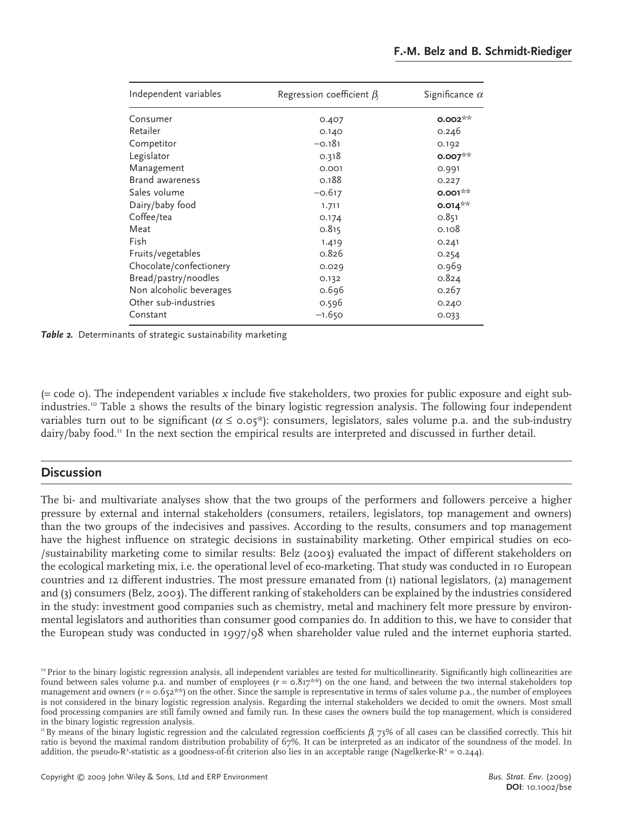| Significance $\alpha$ |  |
|-----------------------|--|
| $0.002**$             |  |
| 0.246                 |  |
| 0.192                 |  |
| $0.007**$             |  |
| 0.991                 |  |
| 0.227                 |  |
| $0.001**$             |  |
| $0.014**$             |  |
| 0.851                 |  |
| 0.108                 |  |
| 0.241                 |  |
| 0.254                 |  |
| 0.969                 |  |
| 0.824                 |  |
| 0.267                 |  |
| 0.240                 |  |
| 0.033                 |  |
|                       |  |

|  | Table 2. Determinants of strategic sustainability marketing |  |  |  |
|--|-------------------------------------------------------------|--|--|--|
|--|-------------------------------------------------------------|--|--|--|

(= code 0). The independent variables *x* include five stakeholders, two proxies for public exposure and eight subindustries.10 Table 2 shows the results of the binary logistic regression analysis. The following four independent variables turn out to be significant ( $\alpha \leq 0.05^*$ ): consumers, legislators, sales volume p.a. and the sub-industry dairy/baby food.11 In the next section the empirical results are interpreted and discussed in further detail.

#### **Discussion**

The bi- and multivariate analyses show that the two groups of the performers and followers perceive a higher pressure by external and internal stakeholders (consumers, retailers, legislators, top management and owners) than the two groups of the indecisives and passives. According to the results, consumers and top management have the highest influence on strategic decisions in sustainability marketing. Other empirical studies on eco- / sustainability marketing come to similar results: Belz (2003) evaluated the impact of different stakeholders on the ecological marketing mix, i.e. the operational level of eco-marketing. That study was conducted in 10 European countries and 12 different industries. The most pressure emanated from (1) national legislators, (2) management and (3) consumers (Belz, 2003). The different ranking of stakeholders can be explained by the industries considered in the study: investment good companies such as chemistry, metal and machinery felt more pressure by environmental legislators and authorities than consumer good companies do. In addition to this, we have to consider that the European study was conducted in 1997/98 when shareholder value ruled and the internet euphoria started.

<sup>&</sup>lt;sup>10</sup> Prior to the binary logistic regression analysis, all independent variables are tested for multicollinearity. Significantly high collinearities are found between sales volume p.a. and number of employees (*r* = 0.817\*\*) on the one hand, and between the two internal stakeholders top management and owners ( $r = 0.652$ <sup>\*\*</sup>) on the other. Since the sample is representative in terms of sales volume p.a., the number of employees is not considered in the binary logistic regression analysis. Regarding the internal stakeholders we decided to omit the owners. Most small food processing companies are still family owned and family run. In these cases the owners build the top management, which is considered in the binary logistic regression analysis.

<sup>&</sup>lt;sup>11</sup> By means of the binary logistic regression and the calculated regression coefficients  $\beta_1$  73% of all cases can be classified correctly. This hit ratio is beyond the maximal random distribution probability of 67%. It can be interpreted as an indicator of the soundness of the model. In addition, the pseudo-R<sup>2</sup>-statistic as a goodness-of-fit criterion also lies in an acceptable range (Nagelkerke-R<sup>2</sup> = 0.244).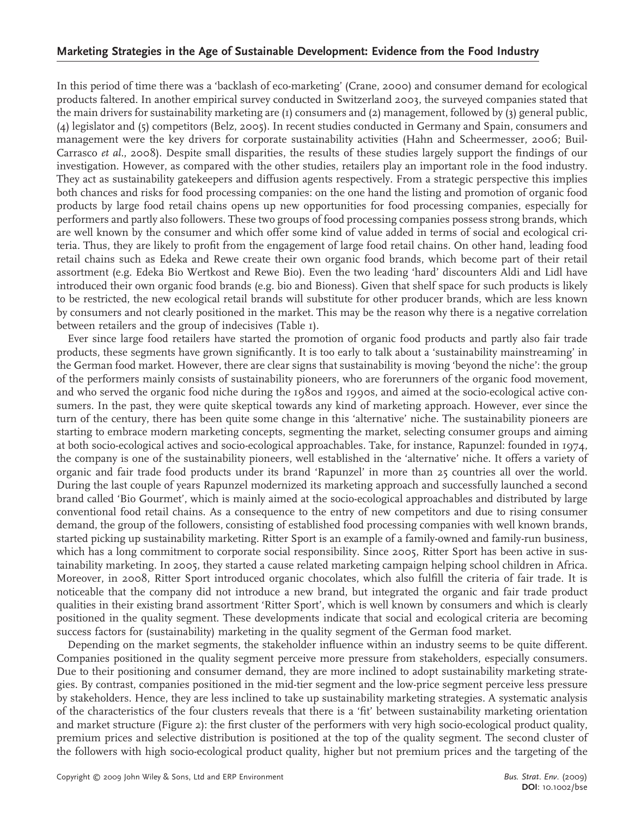In this period of time there was a 'backlash of eco-marketing' (Crane, 2000) and consumer demand for ecological products faltered. In another empirical survey conducted in Switzerland 2003, the surveyed companies stated that the main drivers for sustainability marketing are (1) consumers and (2) management, followed by (3) general public, (4) legislator and (5) competitors (Belz, 2005). In recent studies conducted in Germany and Spain, consumers and management were the key drivers for corporate sustainability activities (Hahn and Scheermesser, 2006; Buil-Carrasco *et al.*, 2008). Despite small disparities, the results of these studies largely support the findings of our investigation. However, as compared with the other studies, retailers play an important role in the food industry. They act as sustainability gatekeepers and diffusion agents respectively. From a strategic perspective this implies both chances and risks for food processing companies: on the one hand the listing and promotion of organic food products by large food retail chains opens up new opportunities for food processing companies, especially for performers and partly also followers. These two groups of food processing companies possess strong brands, which are well known by the consumer and which offer some kind of value added in terms of social and ecological criteria. Thus, they are likely to profit from the engagement of large food retail chains. On other hand, leading food retail chains such as Edeka and Rewe create their own organic food brands, which become part of their retail assortment (e.g. Edeka Bio Wertkost and Rewe Bio). Even the two leading 'hard' discounters Aldi and Lidl have introduced their own organic food brands (e.g. bio and Bioness). Given that shelf space for such products is likely to be restricted, the new ecological retail brands will substitute for other producer brands, which are less known by consumers and not clearly positioned in the market. This may be the reason why there is a negative correlation between retailers and the group of indecisives (Table 1).

Ever since large food retailers have started the promotion of organic food products and partly also fair trade products, these segments have grown significantly. It is too early to talk about a 'sustainability mainstreaming' in the German food market. However, there are clear signs that sustainability is moving 'beyond the niche': the group of the performers mainly consists of sustainability pioneers, who are forerunners of the organic food movement, and who served the organic food niche during the 1980s and 1990s, and aimed at the socio-ecological active consumers. In the past, they were quite skeptical towards any kind of marketing approach. However, ever since the turn of the century, there has been quite some change in this 'alternative' niche. The sustainability pioneers are starting to embrace modern marketing concepts, segmenting the market, selecting consumer groups and aiming at both socio-ecological actives and socio-ecological approachables. Take, for instance, Rapunzel: founded in 1974, the company is one of the sustainability pioneers, well established in the 'alternative' niche. It offers a variety of organic and fair trade food products under its brand 'Rapunzel' in more than 25 countries all over the world. During the last couple of years Rapunzel modernized its marketing approach and successfully launched a second brand called 'Bio Gourmet', which is mainly aimed at the socio-ecological approachables and distributed by large conventional food retail chains. As a consequence to the entry of new competitors and due to rising consumer demand, the group of the followers, consisting of established food processing companies with well known brands, started picking up sustainability marketing. Ritter Sport is an example of a family-owned and family-run business, which has a long commitment to corporate social responsibility. Since 2005, Ritter Sport has been active in sustainability marketing. In 2005, they started a cause related marketing campaign helping school children in Africa. Moreover, in 2008, Ritter Sport introduced organic chocolates, which also fulfill the criteria of fair trade. It is noticeable that the company did not introduce a new brand, but integrated the organic and fair trade product qualities in their existing brand assortment 'Ritter Sport', which is well known by consumers and which is clearly positioned in the quality segment. These developments indicate that social and ecological criteria are becoming success factors for (sustainability) marketing in the quality segment of the German food market.

Depending on the market segments, the stakeholder influence within an industry seems to be quite different. Companies positioned in the quality segment perceive more pressure from stakeholders, especially consumers. Due to their positioning and consumer demand, they are more inclined to adopt sustainability marketing strategies. By contrast, companies positioned in the mid-tier segment and the low-price segment perceive less pressure by stakeholders. Hence, they are less inclined to take up sustainability marketing strategies. A systematic analysis of the characteristics of the four clusters reveals that there is a 'fit' between sustainability marketing orientation and market structure (Figure 2): the first cluster of the performers with very high socio-ecological product quality, premium prices and selective distribution is positioned at the top of the quality segment. The second cluster of the followers with high socio-ecological product quality, higher but not premium prices and the targeting of the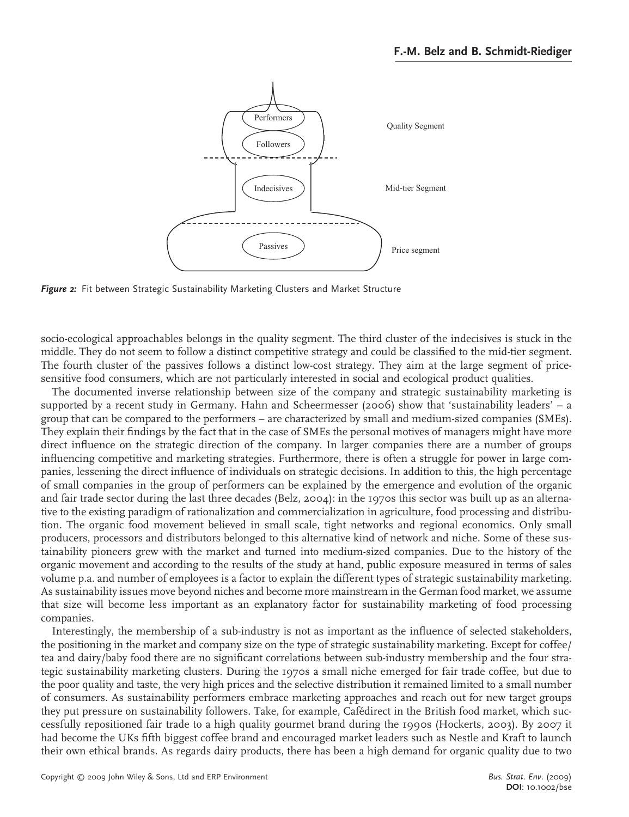

*Figure 2:* Fit between Strategic Sustainability Marketing Clusters and Market Structure

socio-ecological approachables belongs in the quality segment. The third cluster of the indecisives is stuck in the middle. They do not seem to follow a distinct competitive strategy and could be classified to the mid-tier segment. The fourth cluster of the passives follows a distinct low-cost strategy. They aim at the large segment of pricesensitive food consumers, which are not particularly interested in social and ecological product qualities.

The documented inverse relationship between size of the company and strategic sustainability marketing is supported by a recent study in Germany. Hahn and Scheermesser (2006) show that 'sustainability leaders' – a group that can be compared to the performers – are characterized by small and medium-sized companies (SMEs). They explain their findings by the fact that in the case of SMEs the personal motives of managers might have more direct influence on the strategic direction of the company. In larger companies there are a number of groups influencing competitive and marketing strategies. Furthermore, there is often a struggle for power in large companies, lessening the direct influence of individuals on strategic decisions. In addition to this, the high percentage of small companies in the group of performers can be explained by the emergence and evolution of the organic and fair trade sector during the last three decades (Belz, 2004): in the 1970s this sector was built up as an alternative to the existing paradigm of rationalization and commercialization in agriculture, food processing and distribution. The organic food movement believed in small scale, tight networks and regional economics. Only small producers, processors and distributors belonged to this alternative kind of network and niche. Some of these sustainability pioneers grew with the market and turned into medium-sized companies. Due to the history of the organic movement and according to the results of the study at hand, public exposure measured in terms of sales volume p.a. and number of employees is a factor to explain the different types of strategic sustainability marketing. As sustainability issues move beyond niches and become more mainstream in the German food market, we assume that size will become less important as an explanatory factor for sustainability marketing of food processing companies.

Interestingly, the membership of a sub-industry is not as important as the influence of selected stakeholders, the positioning in the market and company size on the type of strategic sustainability marketing. Except for coffee/ tea and dairy/baby food there are no significant correlations between sub-industry membership and the four strategic sustainability marketing clusters. During the 1970s a small niche emerged for fair trade coffee, but due to the poor quality and taste, the very high prices and the selective distribution it remained limited to a small number of consumers. As sustainability performers embrace marketing approaches and reach out for new target groups they put pressure on sustainability followers. Take, for example, Cafédirect in the British food market, which successfully repositioned fair trade to a high quality gourmet brand during the 1990s (Hockerts, 2003). By 2007 it had become the UKs fifth biggest coffee brand and encouraged market leaders such as Nestle and Kraft to launch their own ethical brands. As regards dairy products, there has been a high demand for organic quality due to two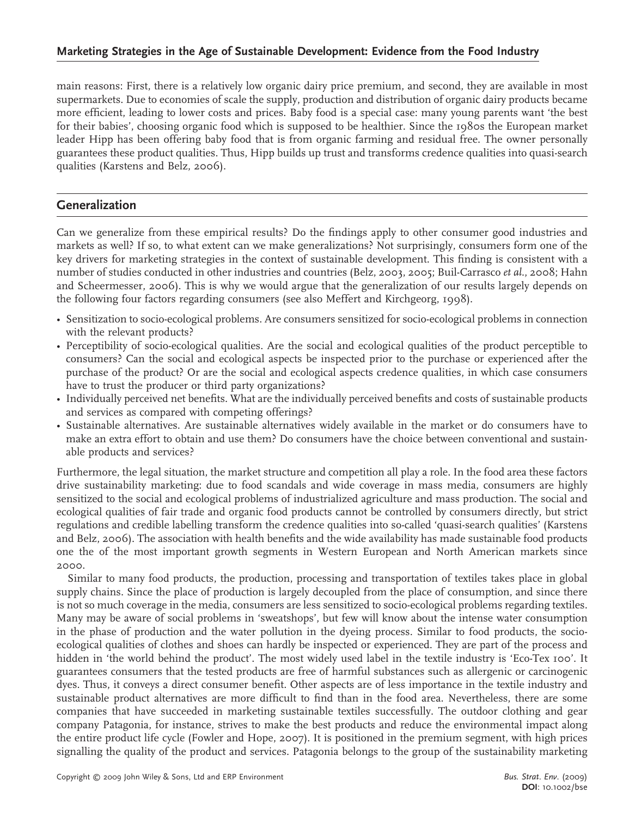main reasons: First, there is a relatively low organic dairy price premium, and second, they are available in most supermarkets. Due to economies of scale the supply, production and distribution of organic dairy products became more efficient, leading to lower costs and prices. Baby food is a special case: many young parents want 'the best for their babies', choosing organic food which is supposed to be healthier. Since the 1980s the European market leader Hipp has been offering baby food that is from organic farming and residual free. The owner personally guarantees these product qualities. Thus, Hipp builds up trust and transforms credence qualities into quasi-search qualities (Karstens and Belz, 2006).

# **Generalization**

Can we generalize from these empirical results? Do the findings apply to other consumer good industries and markets as well? If so, to what extent can we make generalizations? Not surprisingly, consumers form one of the key drivers for marketing strategies in the context of sustainable development. This finding is consistent with a number of studies conducted in other industries and countries (Belz, 2003, 2005; Buil-Carrasco *et al.*, 2008; Hahn and Scheermesser, 2006). This is why we would argue that the generalization of our results largely depends on the following four factors regarding consumers (see also Meffert and Kirchgeorg, 1998).

- Sensitization to socio-ecological problems. Are consumers sensitized for socio-ecological problems in connection with the relevant products?
- Perceptibility of socio-ecological qualities. Are the social and ecological qualities of the product perceptible to consumers? Can the social and ecological aspects be inspected prior to the purchase or experienced after the purchase of the product? Or are the social and ecological aspects credence qualities, in which case consumers have to trust the producer or third party organizations?
- Individually perceived net benefits. What are the individually perceived benefits and costs of sustainable products and services as compared with competing offerings?
- Sustainable alternatives. Are sustainable alternatives widely available in the market or do consumers have to make an extra effort to obtain and use them? Do consumers have the choice between conventional and sustainable products and services?

Furthermore, the legal situation, the market structure and competition all play a role. In the food area these factors drive sustainability marketing: due to food scandals and wide coverage in mass media, consumers are highly sensitized to the social and ecological problems of industrialized agriculture and mass production. The social and ecological qualities of fair trade and organic food products cannot be controlled by consumers directly, but strict regulations and credible labelling transform the credence qualities into so-called 'quasi-search qualities' (Karstens and Belz, 2006). The association with health benefits and the wide availability has made sustainable food products one the of the most important growth segments in Western European and North American markets since 2000.

Similar to many food products, the production, processing and transportation of textiles takes place in global supply chains. Since the place of production is largely decoupled from the place of consumption, and since there is not so much coverage in the media, consumers are less sensitized to socio-ecological problems regarding textiles. Many may be aware of social problems in 'sweatshops', but few will know about the intense water consumption in the phase of production and the water pollution in the dyeing process. Similar to food products, the socioecological qualities of clothes and shoes can hardly be inspected or experienced. They are part of the process and hidden in 'the world behind the product'. The most widely used label in the textile industry is 'Eco-Tex 100'. It guarantees consumers that the tested products are free of harmful substances such as allergenic or carcinogenic dyes. Thus, it conveys a direct consumer benefit. Other aspects are of less importance in the textile industry and sustainable product alternatives are more difficult to find than in the food area. Nevertheless, there are some companies that have succeeded in marketing sustainable textiles successfully. The outdoor clothing and gear company Patagonia, for instance, strives to make the best products and reduce the environmental impact along the entire product life cycle (Fowler and Hope, 2007). It is positioned in the premium segment, with high prices signalling the quality of the product and services. Patagonia belongs to the group of the sustainability marketing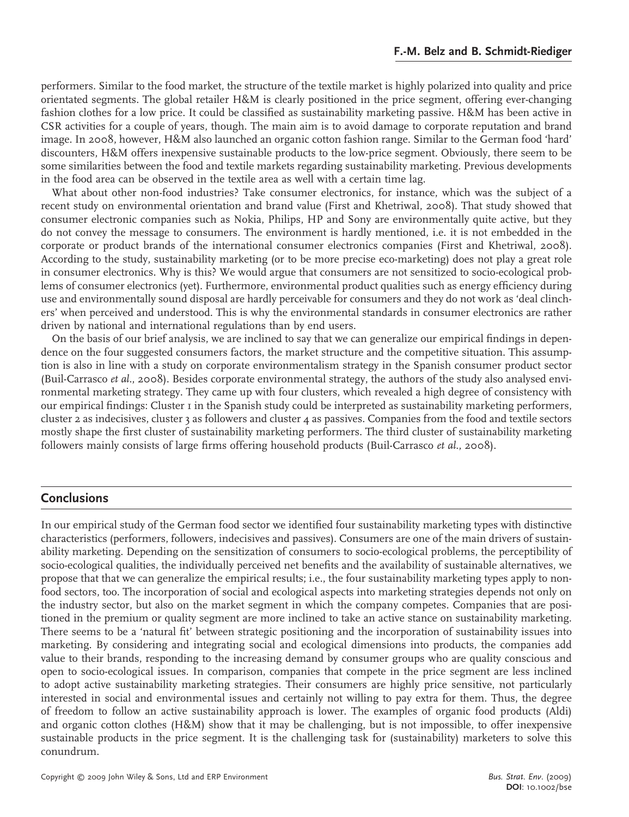performers. Similar to the food market, the structure of the textile market is highly polarized into quality and price orientated segments. The global retailer H&M is clearly positioned in the price segment, offering ever-changing fashion clothes for a low price. It could be classified as sustainability marketing passive. H&M has been active in CSR activities for a couple of years, though. The main aim is to avoid damage to corporate reputation and brand image. In 2008, however, H&M also launched an organic cotton fashion range. Similar to the German food 'hard' discounters, H&M offers inexpensive sustainable products to the low-price segment. Obviously, there seem to be some similarities between the food and textile markets regarding sustainability marketing. Previous developments in the food area can be observed in the textile area as well with a certain time lag.

What about other non-food industries? Take consumer electronics, for instance, which was the subject of a recent study on environmental orientation and brand value (First and Khetriwal, 2008). That study showed that consumer electronic companies such as Nokia, Philips, HP and Sony are environmentally quite active, but they do not convey the message to consumers. The environment is hardly mentioned, i.e. it is not embedded in the corporate or product brands of the international consumer electronics companies (First and Khetriwal, 2008). According to the study, sustainability marketing (or to be more precise eco-marketing) does not play a great role in consumer electronics. Why is this? We would argue that consumers are not sensitized to socio-ecological problems of consumer electronics (yet). Furthermore, environmental product qualities such as energy efficiency during use and environmentally sound disposal are hardly perceivable for consumers and they do not work as 'deal clinchers' when perceived and understood. This is why the environmental standards in consumer electronics are rather driven by national and international regulations than by end users.

On the basis of our brief analysis, we are inclined to say that we can generalize our empirical findings in dependence on the four suggested consumers factors, the market structure and the competitive situation. This assumption is also in line with a study on corporate environmentalism strategy in the Spanish consumer product sector (Buil-Carrasco *et al.*, 2008). Besides corporate environmental strategy, the authors of the study also analysed environmental marketing strategy. They came up with four clusters, which revealed a high degree of consistency with our empirical findings: Cluster 1 in the Spanish study could be interpreted as sustainability marketing performers, cluster 2 as indecisives, cluster 3 as followers and cluster 4 as passives. Companies from the food and textile sectors mostly shape the first cluster of sustainability marketing performers. The third cluster of sustainability marketing followers mainly consists of large firms offering household products (Buil-Carrasco *et al.*, 2008).

# **Conclusions**

In our empirical study of the German food sector we identified four sustainability marketing types with distinctive characteristics (performers, followers, indecisives and passives). Consumers are one of the main drivers of sustainability marketing. Depending on the sensitization of consumers to socio-ecological problems, the perceptibility of socio-ecological qualities, the individually perceived net benefits and the availability of sustainable alternatives, we propose that that we can generalize the empirical results; i.e., the four sustainability marketing types apply to nonfood sectors, too. The incorporation of social and ecological aspects into marketing strategies depends not only on the industry sector, but also on the market segment in which the company competes. Companies that are positioned in the premium or quality segment are more inclined to take an active stance on sustainability marketing. There seems to be a 'natural fit' between strategic positioning and the incorporation of sustainability issues into marketing. By considering and integrating social and ecological dimensions into products, the companies add value to their brands, responding to the increasing demand by consumer groups who are quality conscious and open to socio-ecological issues. In comparison, companies that compete in the price segment are less inclined to adopt active sustainability marketing strategies. Their consumers are highly price sensitive, not particularly interested in social and environmental issues and certainly not willing to pay extra for them. Thus, the degree of freedom to follow an active sustainability approach is lower. The examples of organic food products (Aldi) and organic cotton clothes (H&M) show that it may be challenging, but is not impossible, to offer inexpensive sustainable products in the price segment. It is the challenging task for (sustainability) marketers to solve this conundrum.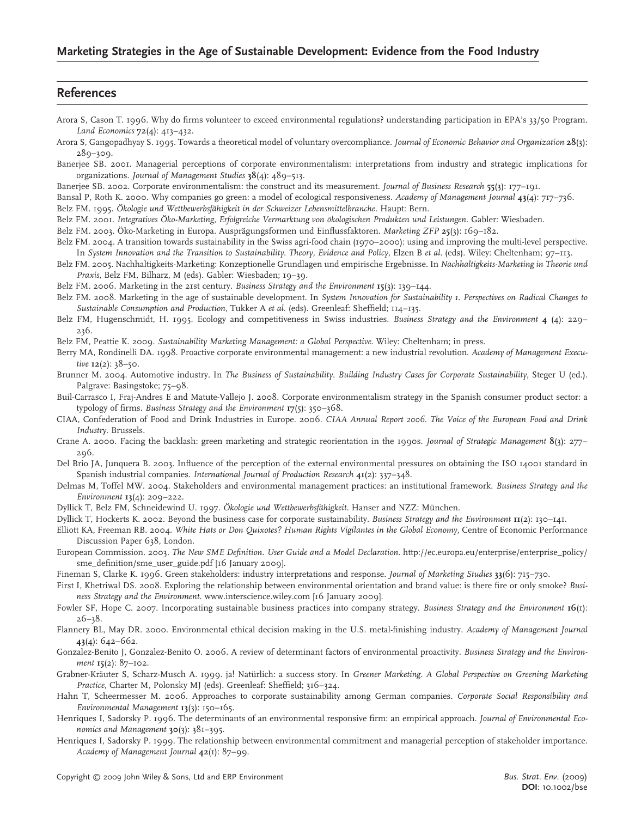#### **References**

- Arora S, Cason T. 1996. Why do firms volunteer to exceed environmental regulations? understanding participation in EPA's 33/50 Program. *Land Economics* **72**(4): 413–432.
- Arora S, Gangopadhyay S. 1995. Towards a theoretical model of voluntary overcompliance. *Journal of Economic Behavior and Organization* **28**(3): 289–309.
- Banerjee SB. 2001. Managerial perceptions of corporate environmentalism: interpretations from industry and strategic implications for organizations. *Journal of Management Studies* **38**(4): 489–513.
- Banerjee SB. 2002. Corporate environmentalism: the construct and its measurement. *Journal of Business Research* **55**(3): 177–191.
- Bansal P, Roth K. 2000. Why companies go green: a model of ecological responsiveness. *Academy of Management Journal* **43**(4): 717–736.
- Belz FM. 1995. *Ökologie und Wettbewerbsfähigkeit in der Schweizer Lebensmittelbranche*. Haupt: Bern.
- Belz FM. 2001. *Integratives Öko-Marketing, Erfolgreiche Vermarktung von ökologischen Produkten und Leistungen*. Gabler: Wiesbaden.
- Belz FM. 2003. Öko-Marketing in Europa. Ausprägungsformen und Einflussfaktoren. *Marketing ZFP* **25**(3): 169–182.
- Belz FM. 2004. A transition towards sustainability in the Swiss agri-food chain (1970–2000): using and improving the multi-level perspective. In *System Innovation and the Transition to Sustainability. Theory, Evidence and Policy*, Elzen B *et al.* (eds). Wiley: Cheltenham; 97–113.
- Belz FM. 2005. Nachhaltigkeits-Marketing: Konzeptionelle Grundlagen und empirische Ergebnisse. In *Nachhaltigkeits-Marketing in Theorie und Praxis*, Belz FM, Bilharz, M (eds). Gabler: Wiesbaden; 19–39.
- Belz FM. 2006. Marketing in the 21st century. *Business Strategy and the Environment* **15**(3): 139–144.
- Belz FM. 2008. Marketing in the age of sustainable development. In *System Innovation for Sustainability 1. Perspectives on Radical Changes to Sustainable Consumption and Production*, Tukker A *et al.* (eds). Greenleaf: Sheffield; 114–135.
- Belz FM, Hugenschmidt, H. 1995. Ecology and competitiveness in Swiss industries. *Business Strategy and the Environment* **4** (4): 229– 236.
- Belz FM, Peattie K. 2009. *Sustainability Marketing Management: a Global Perspective*. Wiley: Cheltenham; in press.
- Berry MA, Rondinelli DA. 1998. Proactive corporate environmental management: a new industrial revolution. *Academy of Management Executive* **12**(2): 38–50.
- Brunner M. 2004. Automotive industry. In *The Business of Sustainability. Building Industry Cases for Corporate Sustainability*, Steger U (ed.). Palgrave: Basingstoke; 75-98.
- Buil-Carrasco I, Fraj-Andres E and Matute-Vallejo J. 2008. Corporate environmentalism strategy in the Spanish consumer product sector: a typology of firms. *Business Strategy and the Environment* **17**(5): 350–368.
- CIAA, Confederation of Food and Drink Industries in Europe. 2006. *CIAA Annual Report 2006. The Voice of the European Food and Drink Industry*. Brussels.
- Crane A. 2000. Facing the backlash: green marketing and strategic reorientation in the 1990s. *Journal of Strategic Management* **8**(3): 277– 296.
- Del Brio JA, Junquera B. 2003. Influence of the perception of the external environmental pressures on obtaining the ISO 14001 standard in Spanish industrial companies. *International Journal of Production Research* **41**(2): 337–348.
- Delmas M, Toffel MW. 2004. Stakeholders and environmental management practices: an institutional framework. *Business Strategy and the Environment* **13**(4): 209–222.
- Dyllick T, Belz FM, Schneidewind U. 1997. *Ökologie und Wettbewerbsfähigkeit*. Hanser and NZZ: München.
- Dyllick T, Hockerts K. 2002. Beyond the business case for corporate sustainability. *Business Strategy and the Environment* **11**(2): 130–141.
- Elliott KA, Freeman RB. 2004. *White Hats or Don Quixotes? Human Rights Vigilantes in the Global Economy*, Centre of Economic Performance Discussion Paper 638, London.
- European Commission. 2003. *The New SME Definition. User Guide and a Model Declaration*. http://ec.europa.eu/enterprise/enterprise\_policy/ sme\_definition/sme\_user\_guide.pdf [16 January 2009].
- Fineman S, Clarke K. 1996. Green stakeholders: industry interpretations and response. *Journal of Marketing Studies* **33**(6): 715–730.
- First I, Khetriwal DS. 2008. Exploring the relationship between environmental orientation and brand value: is there fire or only smoke? *Business Strategy and the Environment*. www.interscience.wiley.com [16 January 2009].
- Fowler SF, Hope C. 2007. Incorporating sustainable business practices into company strategy. *Business Strategy and the Environment* **16**(1): 26–38.
- Flannery BL, May DR. 2000. Environmental ethical decision making in the U.S. metal-finishing industry. *Academy of Management Journal* **43**(4): 642–662.
- Gonzalez-Benito J, Gonzalez-Benito O. 2006. A review of determinant factors of environmental proactivity. *Business Strategy and the Environment* **15**(2): 87–102.
- Grabner-Kräuter S, Scharz-Musch A. 1999. ja! Natürlich: a success story. In *Greener Marketing. A Global Perspective on Greening Marketing Practice*, Charter M, Polonsky MJ (eds). Greenleaf: Sheffield; 316–324.
- Hahn T, Scheermesser M. 2006. Approaches to corporate sustainability among German companies. *Corporate Social Responsibility and Environmental Management* **13**(3): 150–165.
- Henriques I, Sadorsky P. 1996. The determinants of an environmental responsive firm: an empirical approach. *Journal of Environmental Economics and Management* **30**(3): 381–395.
- Henriques I, Sadorsky P. 1999. The relationship between environmental commitment and managerial perception of stakeholder importance. *Academy of Management Journal* **42**(1): 87–99.